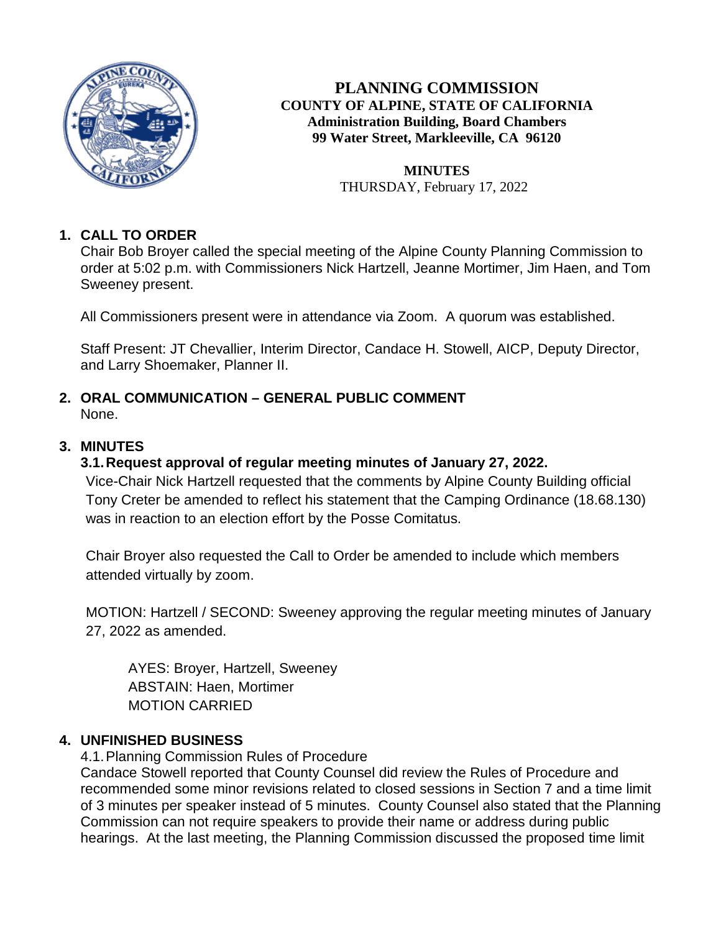

**PLANNING COMMISSION COUNTY OF ALPINE, STATE OF CALIFORNIA Administration Building, Board Chambers 99 Water Street, Markleeville, CA 96120**

> **MINUTES** THURSDAY, February 17, 2022

# **1. CALL TO ORDER**

Chair Bob Broyer called the special meeting of the Alpine County Planning Commission to order at 5:02 p.m. with Commissioners Nick Hartzell, Jeanne Mortimer, Jim Haen, and Tom Sweeney present.

All Commissioners present were in attendance via Zoom. A quorum was established.

Staff Present: JT Chevallier, Interim Director, Candace H. Stowell, AICP, Deputy Director, and Larry Shoemaker, Planner II.

## **2. ORAL COMMUNICATION – GENERAL PUBLIC COMMENT** None.

### **3. MINUTES**

#### **3.1.Request approval of regular meeting minutes of January 27, 2022.**

Vice-Chair Nick Hartzell requested that the comments by Alpine County Building official Tony Creter be amended to reflect his statement that the Camping Ordinance (18.68.130) was in reaction to an election effort by the Posse Comitatus.

Chair Broyer also requested the Call to Order be amended to include which members attended virtually by zoom.

MOTION: Hartzell / SECOND: Sweeney approving the regular meeting minutes of January 27, 2022 as amended.

AYES: Broyer, Hartzell, Sweeney ABSTAIN: Haen, Mortimer MOTION CARRIED

#### **4. UNFINISHED BUSINESS**

4.1.Planning Commission Rules of Procedure

Candace Stowell reported that County Counsel did review the Rules of Procedure and recommended some minor revisions related to closed sessions in Section 7 and a time limit of 3 minutes per speaker instead of 5 minutes. County Counsel also stated that the Planning Commission can not require speakers to provide their name or address during public hearings. At the last meeting, the Planning Commission discussed the proposed time limit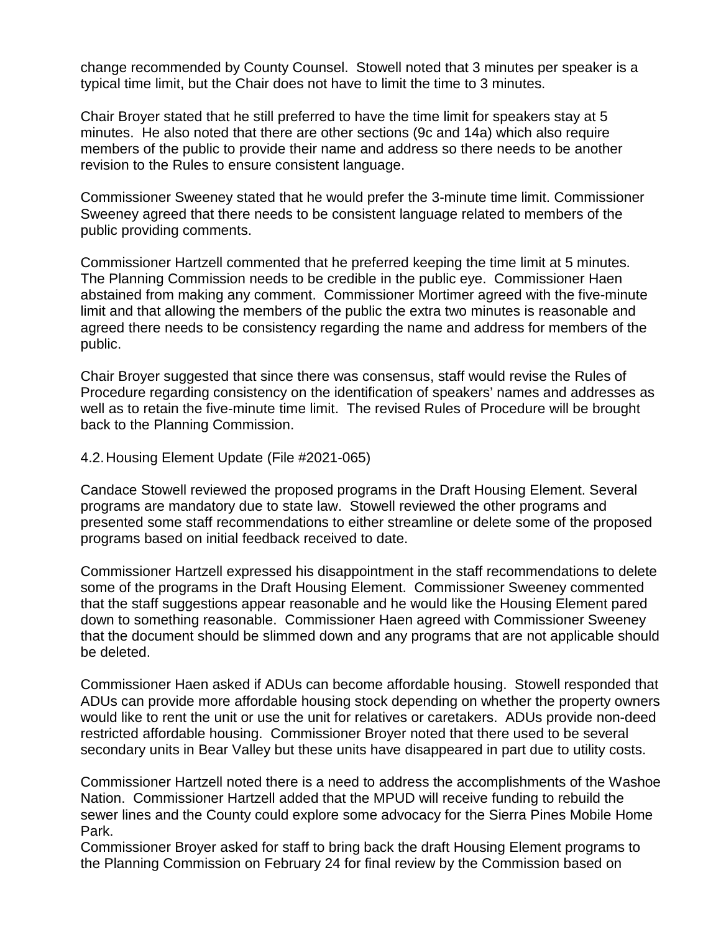change recommended by County Counsel. Stowell noted that 3 minutes per speaker is a typical time limit, but the Chair does not have to limit the time to 3 minutes.

Chair Broyer stated that he still preferred to have the time limit for speakers stay at 5 minutes. He also noted that there are other sections (9c and 14a) which also require members of the public to provide their name and address so there needs to be another revision to the Rules to ensure consistent language.

Commissioner Sweeney stated that he would prefer the 3-minute time limit. Commissioner Sweeney agreed that there needs to be consistent language related to members of the public providing comments.

Commissioner Hartzell commented that he preferred keeping the time limit at 5 minutes. The Planning Commission needs to be credible in the public eye. Commissioner Haen abstained from making any comment. Commissioner Mortimer agreed with the five-minute limit and that allowing the members of the public the extra two minutes is reasonable and agreed there needs to be consistency regarding the name and address for members of the public.

Chair Broyer suggested that since there was consensus, staff would revise the Rules of Procedure regarding consistency on the identification of speakers' names and addresses as well as to retain the five-minute time limit. The revised Rules of Procedure will be brought back to the Planning Commission.

4.2.Housing Element Update (File #2021-065)

Candace Stowell reviewed the proposed programs in the Draft Housing Element. Several programs are mandatory due to state law. Stowell reviewed the other programs and presented some staff recommendations to either streamline or delete some of the proposed programs based on initial feedback received to date.

Commissioner Hartzell expressed his disappointment in the staff recommendations to delete some of the programs in the Draft Housing Element. Commissioner Sweeney commented that the staff suggestions appear reasonable and he would like the Housing Element pared down to something reasonable. Commissioner Haen agreed with Commissioner Sweeney that the document should be slimmed down and any programs that are not applicable should be deleted.

Commissioner Haen asked if ADUs can become affordable housing. Stowell responded that ADUs can provide more affordable housing stock depending on whether the property owners would like to rent the unit or use the unit for relatives or caretakers. ADUs provide non-deed restricted affordable housing. Commissioner Broyer noted that there used to be several secondary units in Bear Valley but these units have disappeared in part due to utility costs.

Commissioner Hartzell noted there is a need to address the accomplishments of the Washoe Nation. Commissioner Hartzell added that the MPUD will receive funding to rebuild the sewer lines and the County could explore some advocacy for the Sierra Pines Mobile Home Park.

Commissioner Broyer asked for staff to bring back the draft Housing Element programs to the Planning Commission on February 24 for final review by the Commission based on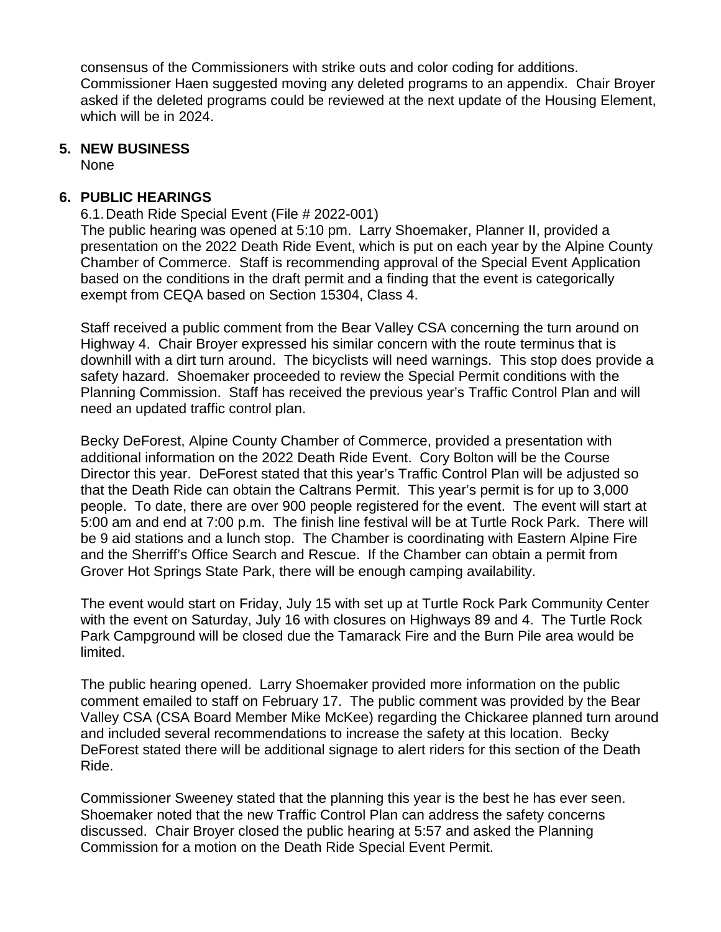consensus of the Commissioners with strike outs and color coding for additions. Commissioner Haen suggested moving any deleted programs to an appendix. Chair Broyer asked if the deleted programs could be reviewed at the next update of the Housing Element, which will be in 2024.

#### **5. NEW BUSINESS**

None

#### **6. PUBLIC HEARINGS**

6.1.Death Ride Special Event (File # 2022-001) The public hearing was opened at 5:10 pm. Larry Shoemaker, Planner II, provided a presentation on the 2022 Death Ride Event, which is put on each year by the Alpine County Chamber of Commerce. Staff is recommending approval of the Special Event Application based on the conditions in the draft permit and a finding that the event is categorically exempt from CEQA based on Section 15304, Class 4.

Staff received a public comment from the Bear Valley CSA concerning the turn around on Highway 4. Chair Broyer expressed his similar concern with the route terminus that is downhill with a dirt turn around. The bicyclists will need warnings. This stop does provide a safety hazard. Shoemaker proceeded to review the Special Permit conditions with the Planning Commission. Staff has received the previous year's Traffic Control Plan and will need an updated traffic control plan.

Becky DeForest, Alpine County Chamber of Commerce, provided a presentation with additional information on the 2022 Death Ride Event. Cory Bolton will be the Course Director this year. DeForest stated that this year's Traffic Control Plan will be adjusted so that the Death Ride can obtain the Caltrans Permit. This year's permit is for up to 3,000 people. To date, there are over 900 people registered for the event. The event will start at 5:00 am and end at 7:00 p.m. The finish line festival will be at Turtle Rock Park. There will be 9 aid stations and a lunch stop. The Chamber is coordinating with Eastern Alpine Fire and the Sherriff's Office Search and Rescue. If the Chamber can obtain a permit from Grover Hot Springs State Park, there will be enough camping availability.

The event would start on Friday, July 15 with set up at Turtle Rock Park Community Center with the event on Saturday, July 16 with closures on Highways 89 and 4. The Turtle Rock Park Campground will be closed due the Tamarack Fire and the Burn Pile area would be limited.

The public hearing opened. Larry Shoemaker provided more information on the public comment emailed to staff on February 17. The public comment was provided by the Bear Valley CSA (CSA Board Member Mike McKee) regarding the Chickaree planned turn around and included several recommendations to increase the safety at this location. Becky DeForest stated there will be additional signage to alert riders for this section of the Death Ride.

Commissioner Sweeney stated that the planning this year is the best he has ever seen. Shoemaker noted that the new Traffic Control Plan can address the safety concerns discussed. Chair Broyer closed the public hearing at 5:57 and asked the Planning Commission for a motion on the Death Ride Special Event Permit.